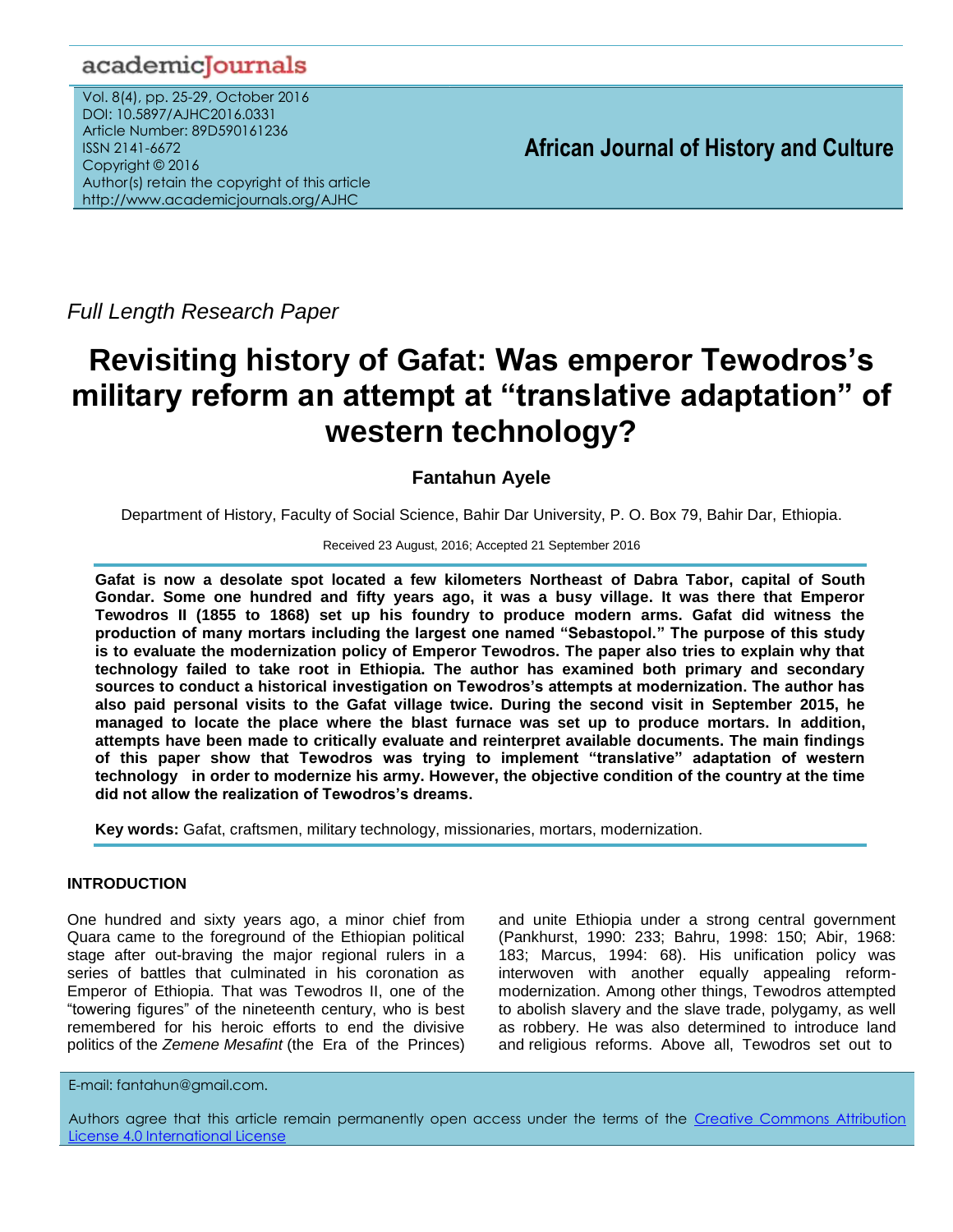# academicJournals

Vol. 8(4), pp. 25-29, October 2016 DOI: 10.5897/AJHC2016.0331 Article Number: 89D590161236 ISSN 2141-6672 Copyright © 2016 Author(s) retain the copyright of this article http://www.academicjournals.org/AJHC

**African Journal of History and Culture**

*Full Length Research Paper*

# **Revisiting history of Gafat: Was emperor Tewodros's military reform an attempt at "translative adaptation" of western technology?**

# **Fantahun Ayele**

Department of History, Faculty of Social Science, Bahir Dar University, P. O. Box 79, Bahir Dar, Ethiopia.

Received 23 August, 2016; Accepted 21 September 2016

**Gafat is now a desolate spot located a few kilometers Northeast of Dabra Tabor, capital of South Gondar. Some one hundred and fifty years ago, it was a busy village. It was there that Emperor Tewodros II (1855 to 1868) set up his foundry to produce modern arms. Gafat did witness the production of many mortars including the largest one named "Sebastopol." The purpose of this study is to evaluate the modernization policy of Emperor Tewodros. The paper also tries to explain why that technology failed to take root in Ethiopia. The author has examined both primary and secondary sources to conduct a historical investigation on Tewodros's attempts at modernization. The author has also paid personal visits to the Gafat village twice. During the second visit in September 2015, he managed to locate the place where the blast furnace was set up to produce mortars. In addition, attempts have been made to critically evaluate and reinterpret available documents. The main findings of this paper show that Tewodros was trying to implement "translative" adaptation of western technology in order to modernize his army. However, the objective condition of the country at the time did not allow the realization of Tewodros's dreams.**

**Key words:** Gafat, craftsmen, military technology, missionaries, mortars, modernization.

### **INTRODUCTION**

One hundred and sixty years ago, a minor chief from Quara came to the foreground of the Ethiopian political stage after out-braving the major regional rulers in a series of battles that culminated in his coronation as Emperor of Ethiopia. That was Tewodros II, one of the "towering figures" of the nineteenth century, who is best remembered for his heroic efforts to end the divisive politics of the *Zemene Mesafint* (the Era of the Princes)

and unite Ethiopia under a strong central government (Pankhurst, 1990: 233; Bahru, 1998: 150; Abir, 1968: 183; Marcus, 1994: 68). His unification policy was interwoven with another equally appealing reformmodernization. Among other things, Tewodros attempted to abolish slavery and the slave trade, polygamy, as well as robbery. He was also determined to introduce land and religious reforms. Above all, Tewodros set out to

E-mail: fantahun@gmail.com.

Authors agree that this article remain permanently open access under the terms of the Creative Commons Attribution [License 4.0 International License](http://creativecommons.org/licenses/by/4.0/deed.en_US)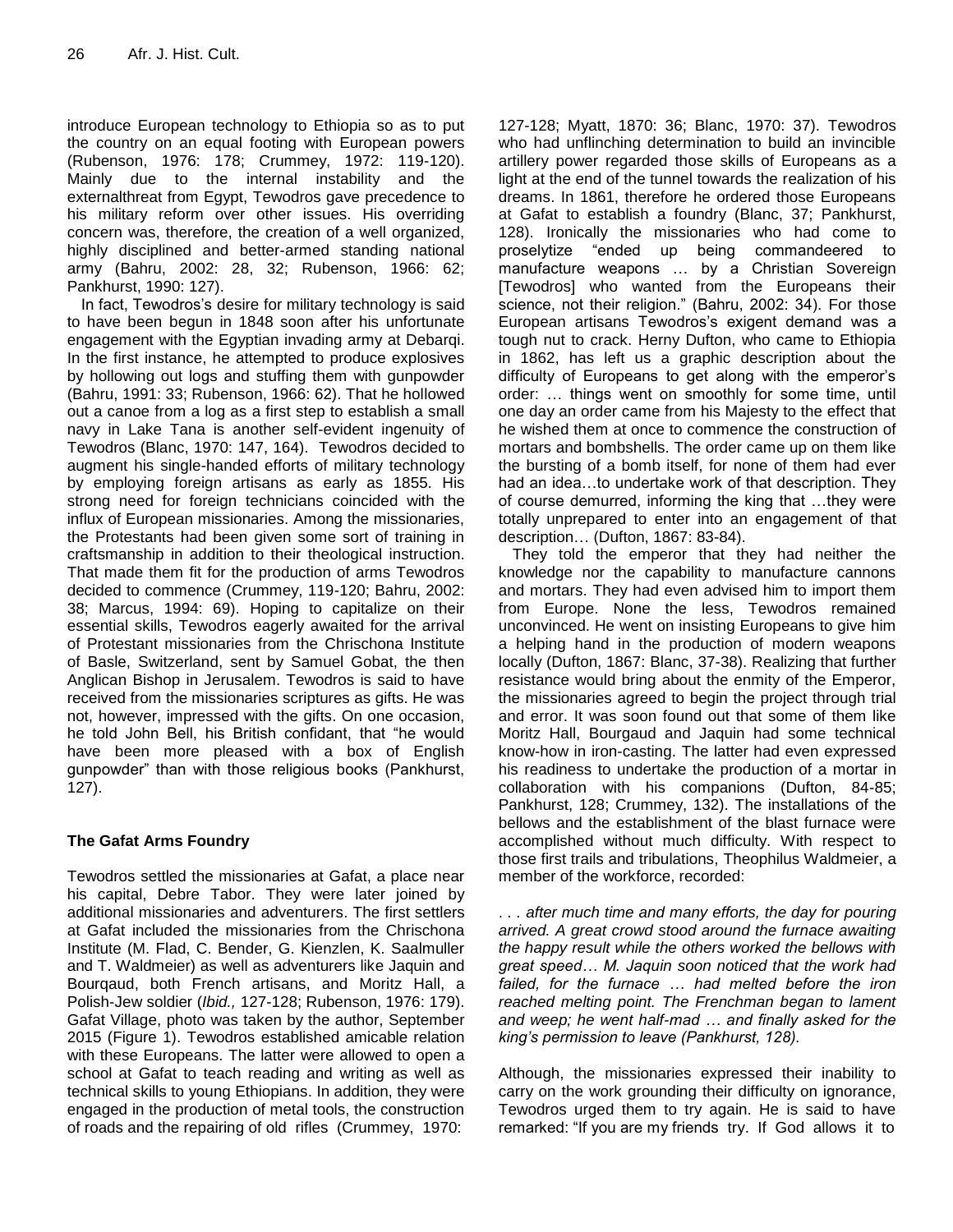introduce European technology to Ethiopia so as to put the country on an equal footing with European powers (Rubenson, 1976: 178; Crummey, 1972: 119-120). Mainly due to the internal instability and the externalthreat from Egypt, Tewodros gave precedence to his military reform over other issues. His overriding concern was, therefore, the creation of a well organized, highly disciplined and better-armed standing national army (Bahru, 2002: 28, 32; Rubenson, 1966: 62; Pankhurst, 1990: 127).

In fact, Tewodros's desire for military technology is said to have been begun in 1848 soon after his unfortunate engagement with the Egyptian invading army at Debarqi. In the first instance, he attempted to produce explosives by hollowing out logs and stuffing them with gunpowder (Bahru, 1991: 33; Rubenson, 1966: 62). That he hollowed out a canoe from a log as a first step to establish a small navy in Lake Tana is another self-evident ingenuity of Tewodros (Blanc, 1970: 147, 164). Tewodros decided to augment his single-handed efforts of military technology by employing foreign artisans as early as 1855. His strong need for foreign technicians coincided with the influx of European missionaries. Among the missionaries, the Protestants had been given some sort of training in craftsmanship in addition to their theological instruction. That made them fit for the production of arms Tewodros decided to commence (Crummey, 119-120; Bahru, 2002: 38; Marcus, 1994: 69). Hoping to capitalize on their essential skills, Tewodros eagerly awaited for the arrival of Protestant missionaries from the Chrischona Institute of Basle, Switzerland, sent by Samuel Gobat, the then Anglican Bishop in Jerusalem. Tewodros is said to have received from the missionaries scriptures as gifts. He was not, however, impressed with the gifts. On one occasion, he told John Bell, his British confidant, that "he would have been more pleased with a box of English gunpowder" than with those religious books (Pankhurst, 127).

# **The Gafat Arms Foundry**

Tewodros settled the missionaries at Gafat, a place near his capital, Debre Tabor. They were later joined by additional missionaries and adventurers. The first settlers at Gafat included the missionaries from the Chrischona Institute (M. Flad, C. Bender, G. Kienzlen, K. Saalmuller and T. Waldmeier) as well as adventurers like Jaquin and Bourqaud, both French artisans, and Moritz Hall, a Polish-Jew soldier (*Ibid.,* 127-128; Rubenson, 1976: 179). Gafat Village, photo was taken by the author, September 2015 (Figure 1). Tewodros established amicable relation with these Europeans. The latter were allowed to open a school at Gafat to teach reading and writing as well as technical skills to young Ethiopians. In addition, they were engaged in the production of metal tools, the construction of roads and the repairing of old rifles (Crummey, 1970:

127-128; Myatt, 1870: 36; Blanc, 1970: 37). Tewodros who had unflinching determination to build an invincible artillery power regarded those skills of Europeans as a light at the end of the tunnel towards the realization of his dreams. In 1861, therefore he ordered those Europeans at Gafat to establish a foundry (Blanc, 37; Pankhurst, 128). Ironically the missionaries who had come to proselytize "ended up being commandeered to manufacture weapons … by a Christian Sovereign [Tewodros] who wanted from the Europeans their science, not their religion." (Bahru, 2002: 34). For those European artisans Tewodros's exigent demand was a tough nut to crack. Herny Dufton, who came to Ethiopia in 1862, has left us a graphic description about the difficulty of Europeans to get along with the emperor's order: … things went on smoothly for some time, until one day an order came from his Majesty to the effect that he wished them at once to commence the construction of mortars and bombshells. The order came up on them like the bursting of a bomb itself, for none of them had ever had an idea…to undertake work of that description. They of course demurred, informing the king that …they were totally unprepared to enter into an engagement of that description… (Dufton, 1867: 83-84).

They told the emperor that they had neither the knowledge nor the capability to manufacture cannons and mortars. They had even advised him to import them from Europe. None the less, Tewodros remained unconvinced. He went on insisting Europeans to give him a helping hand in the production of modern weapons locally (Dufton, 1867: Blanc, 37-38). Realizing that further resistance would bring about the enmity of the Emperor, the missionaries agreed to begin the project through trial and error. It was soon found out that some of them like Moritz Hall, Bourgaud and Jaquin had some technical know-how in iron-casting. The latter had even expressed his readiness to undertake the production of a mortar in collaboration with his companions (Dufton, 84-85; Pankhurst, 128; Crummey, 132). The installations of the bellows and the establishment of the blast furnace were accomplished without much difficulty. With respect to those first trails and tribulations, Theophilus Waldmeier, a member of the workforce, recorded:

. *. . after much time and many efforts, the day for pouring arrived. A great crowd stood around the furnace awaiting the happy result while the others worked the bellows with great speed… M. Jaquin soon noticed that the work had failed, for the furnace … had melted before the iron reached melting point. The Frenchman began to lament and weep; he went half-mad … and finally asked for the king's permission to leave (Pankhurst, 128).*

Although, the missionaries expressed their inability to carry on the work grounding their difficulty on ignorance, Tewodros urged them to try again. He is said to have remarked: "If you are my friends try. If God allows it to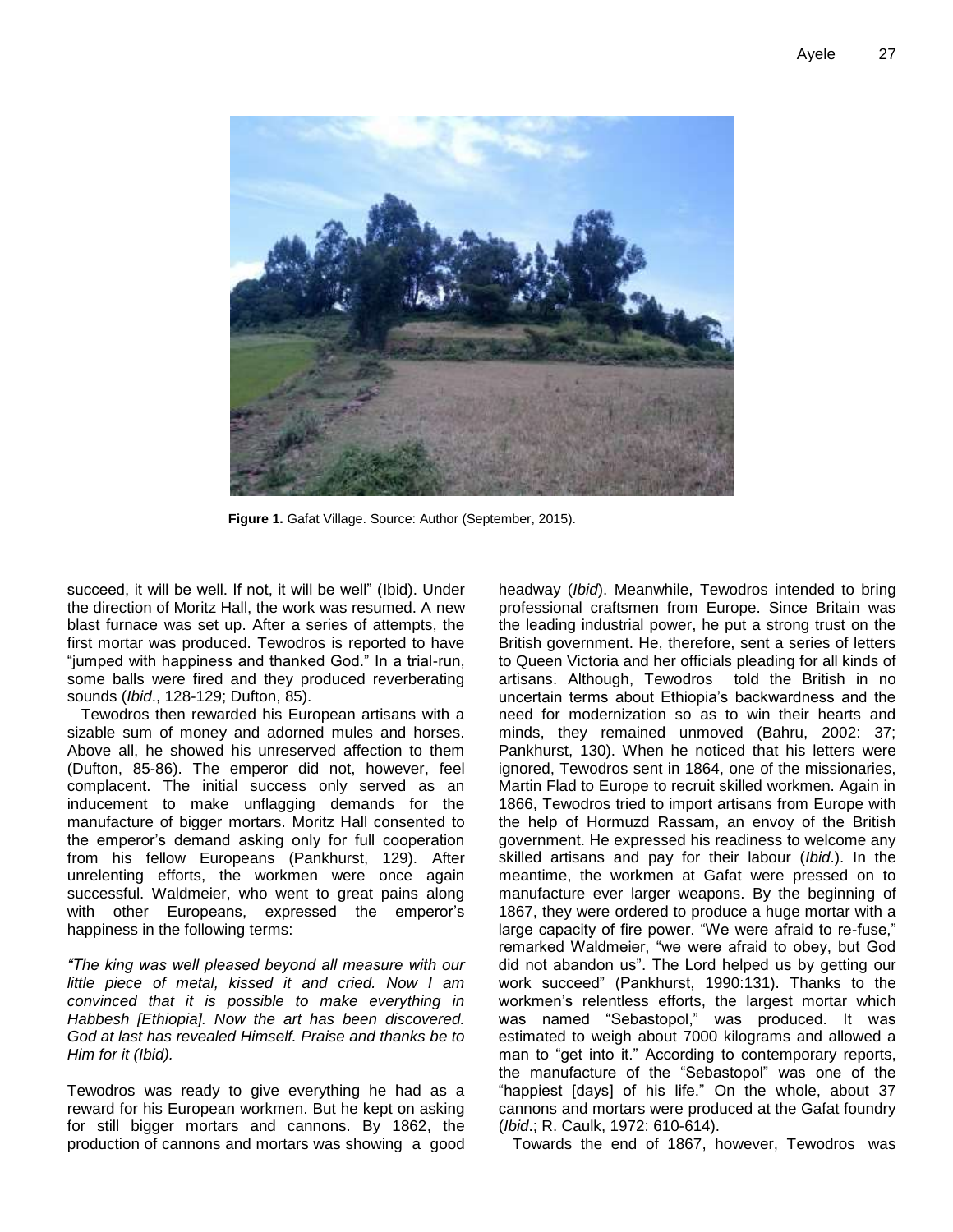

**Figure 1.** Gafat Village. Source: Author (September, 2015).

succeed, it will be well. If not, it will be well" (Ibid). Under the direction of Moritz Hall, the work was resumed. A new blast furnace was set up. After a series of attempts, the first mortar was produced. Tewodros is reported to have "jumped with happiness and thanked God." In a trial-run, some balls were fired and they produced reverberating sounds (*Ibid*., 128-129; Dufton, 85).

Tewodros then rewarded his European artisans with a sizable sum of money and adorned mules and horses. Above all, he showed his unreserved affection to them (Dufton, 85-86). The emperor did not, however, feel complacent. The initial success only served as an inducement to make unflagging demands for the manufacture of bigger mortars. Moritz Hall consented to the emperor's demand asking only for full cooperation from his fellow Europeans (Pankhurst, 129). After unrelenting efforts, the workmen were once again successful. Waldmeier, who went to great pains along with other Europeans, expressed the emperor's happiness in the following terms:

*"The king was well pleased beyond all measure with our little piece of metal, kissed it and cried. Now I am convinced that it is possible to make everything in Habbesh [Ethiopia]. Now the art has been discovered. God at last has revealed Himself. Praise and thanks be to Him for it (Ibid).* 

Tewodros was ready to give everything he had as a reward for his European workmen. But he kept on asking for still bigger mortars and cannons. By 1862, the production of cannons and mortars was showing a good headway (*Ibid*). Meanwhile, Tewodros intended to bring professional craftsmen from Europe. Since Britain was the leading industrial power, he put a strong trust on the British government. He, therefore, sent a series of letters to Queen Victoria and her officials pleading for all kinds of artisans. Although, Tewodros told the British in no uncertain terms about Ethiopia's backwardness and the need for modernization so as to win their hearts and minds, they remained unmoved (Bahru, 2002: 37; Pankhurst, 130). When he noticed that his letters were ignored, Tewodros sent in 1864, one of the missionaries, Martin Flad to Europe to recruit skilled workmen. Again in 1866, Tewodros tried to import artisans from Europe with the help of Hormuzd Rassam, an envoy of the British government. He expressed his readiness to welcome any skilled artisans and pay for their labour (*Ibid*.). In the meantime, the workmen at Gafat were pressed on to manufacture ever larger weapons. By the beginning of 1867, they were ordered to produce a huge mortar with a large capacity of fire power. "We were afraid to re-fuse," remarked Waldmeier, "we were afraid to obey, but God did not abandon us". The Lord helped us by getting our work succeed" (Pankhurst, 1990:131). Thanks to the workmen's relentless efforts, the largest mortar which was named "Sebastopol," was produced. It was estimated to weigh about 7000 kilograms and allowed a man to "get into it." According to contemporary reports, the manufacture of the "Sebastopol" was one of the "happiest [days] of his life." On the whole, about 37 cannons and mortars were produced at the Gafat foundry (*Ibid*.; R. Caulk, 1972: 610-614).

Towards the end of 1867, however, Tewodros was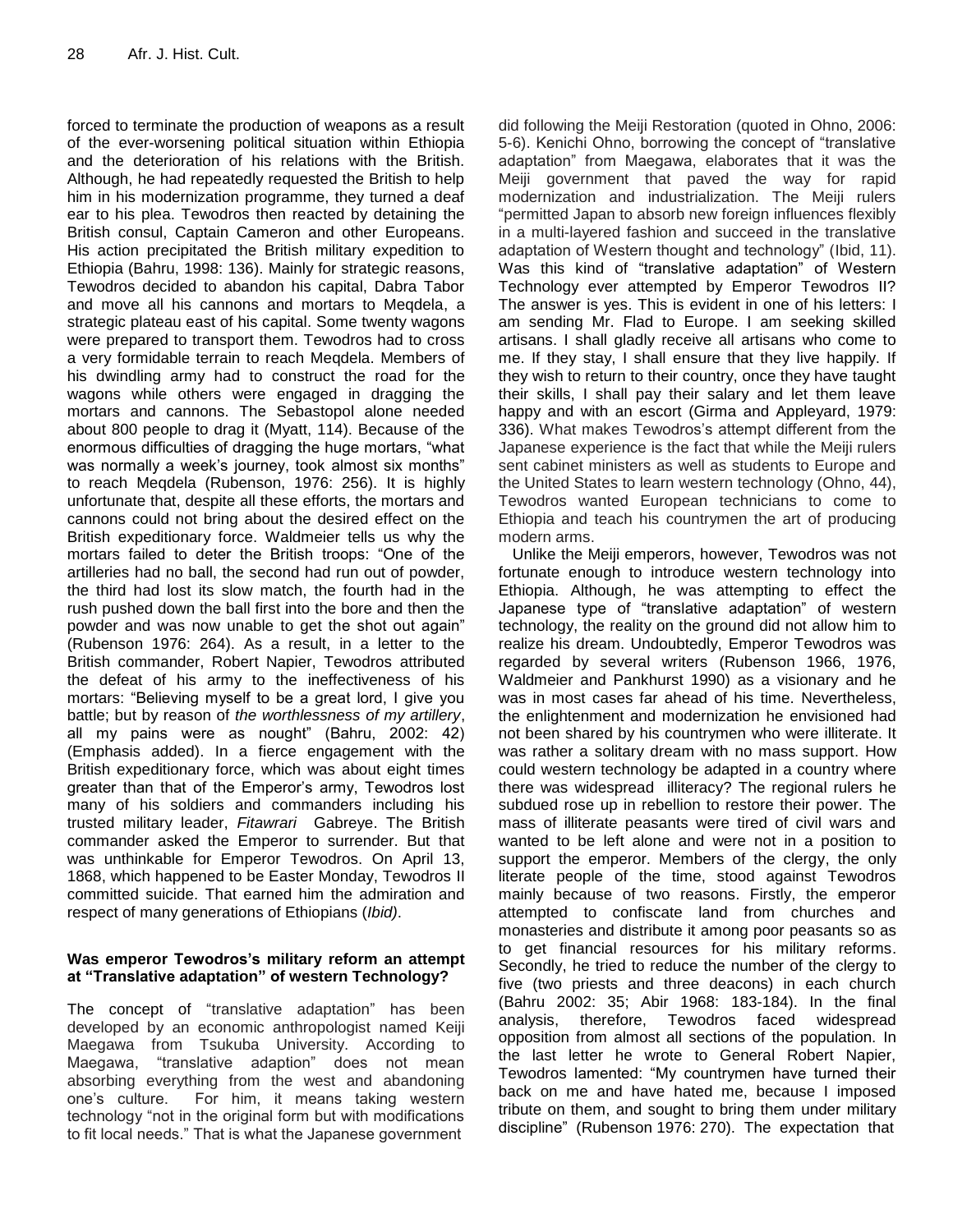forced to terminate the production of weapons as a result of the ever-worsening political situation within Ethiopia and the deterioration of his relations with the British. Although, he had repeatedly requested the British to help him in his modernization programme, they turned a deaf ear to his plea. Tewodros then reacted by detaining the British consul, Captain Cameron and other Europeans. His action precipitated the British military expedition to Ethiopia (Bahru, 1998: 136). Mainly for strategic reasons, Tewodros decided to abandon his capital, Dabra Tabor and move all his cannons and mortars to Meqdela, a strategic plateau east of his capital. Some twenty wagons were prepared to transport them. Tewodros had to cross a very formidable terrain to reach Meqdela. Members of his dwindling army had to construct the road for the wagons while others were engaged in dragging the mortars and cannons. The Sebastopol alone needed about 800 people to drag it (Myatt, 114). Because of the enormous difficulties of dragging the huge mortars, "what was normally a week's journey, took almost six months" to reach Meqdela (Rubenson, 1976: 256). It is highly unfortunate that, despite all these efforts, the mortars and cannons could not bring about the desired effect on the British expeditionary force. Waldmeier tells us why the mortars failed to deter the British troops: "One of the artilleries had no ball, the second had run out of powder, the third had lost its slow match, the fourth had in the rush pushed down the ball first into the bore and then the powder and was now unable to get the shot out again" (Rubenson 1976: 264). As a result, in a letter to the British commander, Robert Napier, Tewodros attributed the defeat of his army to the ineffectiveness of his mortars: "Believing myself to be a great lord, I give you battle; but by reason of *the worthlessness of my artillery*, all my pains were as nought" (Bahru, 2002: 42) (Emphasis added). In a fierce engagement with the British expeditionary force, which was about eight times greater than that of the Emperor's army, Tewodros lost many of his soldiers and commanders including his trusted military leader, *Fitawrari* Gabreye. The British commander asked the Emperor to surrender. But that was unthinkable for Emperor Tewodros. On April 13, 1868, which happened to be Easter Monday, Tewodros II committed suicide. That earned him the admiration and respect of many generations of Ethiopians (*Ibid)*.

## **Was emperor Tewodros's military reform an attempt at "Translative adaptation" of western Technology?**

The concept of "translative adaptation" has been developed by an economic anthropologist named Keiji Maegawa from Tsukuba University. According to Maegawa, "translative adaption" does not mean absorbing everything from the west and abandoning one's culture. For him, it means taking western technology "not in the original form but with modifications to fit local needs." That is what the Japanese government did following the Meiji Restoration (quoted in Ohno, 2006: 5-6). Kenichi Ohno, borrowing the concept of "translative adaptation" from Maegawa, elaborates that it was the Meiji government that paved the way for rapid modernization and industrialization. The Meiji rulers "permitted Japan to absorb new foreign influences flexibly in a multi-layered fashion and succeed in the translative adaptation of Western thought and technology" (Ibid, 11). Was this kind of "translative adaptation" of Western Technology ever attempted by Emperor Tewodros II? The answer is yes. This is evident in one of his letters: I am sending Mr. Flad to Europe. I am seeking skilled artisans. I shall gladly receive all artisans who come to me. If they stay, I shall ensure that they live happily. If they wish to return to their country, once they have taught their skills, I shall pay their salary and let them leave happy and with an escort (Girma and Appleyard, 1979: 336). What makes Tewodros's attempt different from the Japanese experience is the fact that while the Meiji rulers sent cabinet ministers as well as students to Europe and the United States to learn western technology (Ohno, 44), Tewodros wanted European technicians to come to Ethiopia and teach his countrymen the art of producing modern arms.

Unlike the Meiji emperors, however, Tewodros was not fortunate enough to introduce western technology into Ethiopia. Although, he was attempting to effect the Japanese type of "translative adaptation" of western technology, the reality on the ground did not allow him to realize his dream. Undoubtedly, Emperor Tewodros was regarded by several writers (Rubenson 1966, 1976, Waldmeier and Pankhurst 1990) as a visionary and he was in most cases far ahead of his time. Nevertheless, the enlightenment and modernization he envisioned had not been shared by his countrymen who were illiterate. It was rather a solitary dream with no mass support. How could western technology be adapted in a country where there was widespread illiteracy? The regional rulers he subdued rose up in rebellion to restore their power. The mass of illiterate peasants were tired of civil wars and wanted to be left alone and were not in a position to support the emperor. Members of the clergy, the only literate people of the time, stood against Tewodros mainly because of two reasons. Firstly, the emperor attempted to confiscate land from churches and monasteries and distribute it among poor peasants so as to get financial resources for his military reforms. Secondly, he tried to reduce the number of the clergy to five (two priests and three deacons) in each church (Bahru 2002: 35; Abir 1968: 183-184). In the final analysis, therefore, Tewodros faced widespread opposition from almost all sections of the population. In the last letter he wrote to General Robert Napier, Tewodros lamented: "My countrymen have turned their back on me and have hated me, because I imposed tribute on them, and sought to bring them under military discipline" (Rubenson 1976: 270). The expectation that